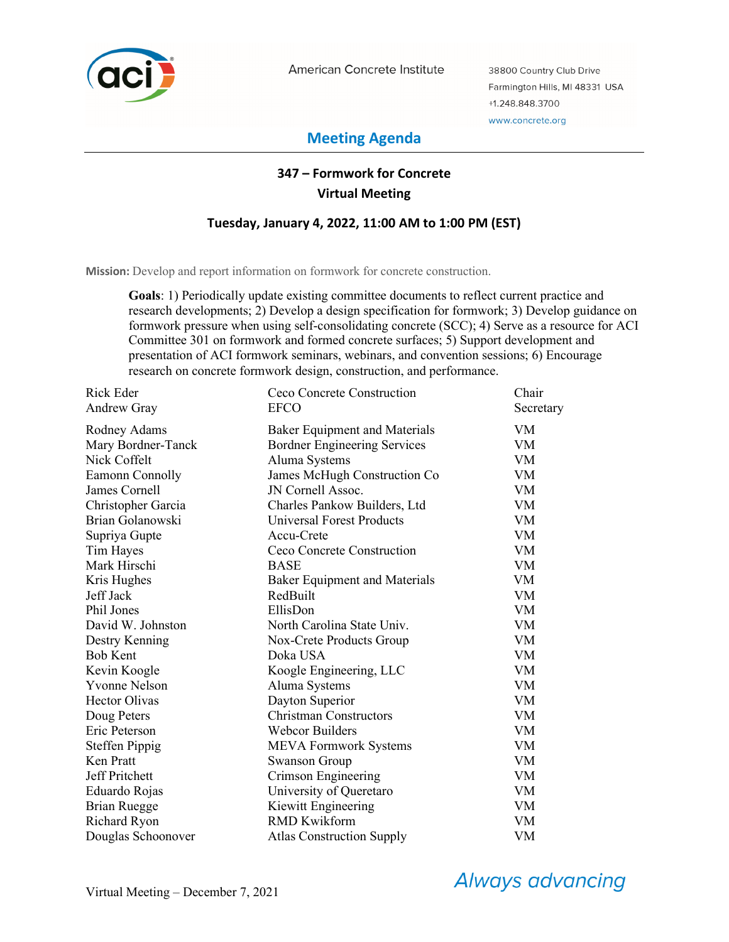

American Concrete Institute

38800 Country Club Drive Farmington Hills, MI 48331 USA +1.248.848.3700 www.concrete.org

# **Meeting Agenda**

# **347 – Formwork for Concrete Virtual Meeting**

### **Tuesday, January 4, 2022, 11:00 AM to 1:00 PM (EST)**

**Mission:** Develop and report information on formwork for concrete construction.

**Goals**: 1) Periodically update existing committee documents to reflect current practice and research developments; 2) Develop a design specification for formwork; 3) Develop guidance on formwork pressure when using self-consolidating concrete (SCC); 4) Serve as a resource for ACI Committee 301 on formwork and formed concrete surfaces; 5) Support development and presentation of ACI formwork seminars, webinars, and convention sessions; 6) Encourage research on concrete formwork design, construction, and performance.

| <b>Rick Eder</b>      | Ceco Concrete Construction           | Chair     |
|-----------------------|--------------------------------------|-----------|
| Andrew Gray           | <b>EFCO</b>                          | Secretary |
| Rodney Adams          | <b>Baker Equipment and Materials</b> | VM        |
| Mary Bordner-Tanck    | <b>Bordner Engineering Services</b>  | <b>VM</b> |
| Nick Coffelt          | Aluma Systems                        | <b>VM</b> |
| Eamonn Connolly       | James McHugh Construction Co         | <b>VM</b> |
| James Cornell         | JN Cornell Assoc.                    | <b>VM</b> |
| Christopher Garcia    | Charles Pankow Builders, Ltd         | <b>VM</b> |
| Brian Golanowski      | Universal Forest Products            | <b>VM</b> |
| Supriya Gupte         | Accu-Crete                           | VM        |
| Tim Hayes             | Ceco Concrete Construction           | <b>VM</b> |
| Mark Hirschi          | <b>BASE</b>                          | <b>VM</b> |
| Kris Hughes           | <b>Baker Equipment and Materials</b> | <b>VM</b> |
| Jeff Jack             | RedBuilt                             | <b>VM</b> |
| Phil Jones            | EllisDon                             | <b>VM</b> |
| David W. Johnston     | North Carolina State Univ.           | <b>VM</b> |
| Destry Kenning        | Nox-Crete Products Group             | <b>VM</b> |
| <b>Bob Kent</b>       | Doka USA                             | <b>VM</b> |
| Kevin Koogle          | Koogle Engineering, LLC              | <b>VM</b> |
| <b>Yvonne Nelson</b>  | Aluma Systems                        | <b>VM</b> |
| <b>Hector Olivas</b>  | Dayton Superior                      | <b>VM</b> |
| Doug Peters           | <b>Christman Constructors</b>        | <b>VM</b> |
| Eric Peterson         | <b>Webcor Builders</b>               | <b>VM</b> |
| <b>Steffen Pippig</b> | <b>MEVA Formwork Systems</b>         | <b>VM</b> |
| Ken Pratt             | <b>Swanson Group</b>                 | <b>VM</b> |
| Jeff Pritchett        | Crimson Engineering                  | <b>VM</b> |
| Eduardo Rojas         | University of Queretaro              | <b>VM</b> |
| <b>Brian Ruegge</b>   | Kiewitt Engineering                  | <b>VM</b> |
| Richard Ryon          | <b>RMD Kwikform</b>                  | VM        |
| Douglas Schoonover    | <b>Atlas Construction Supply</b>     | VM        |